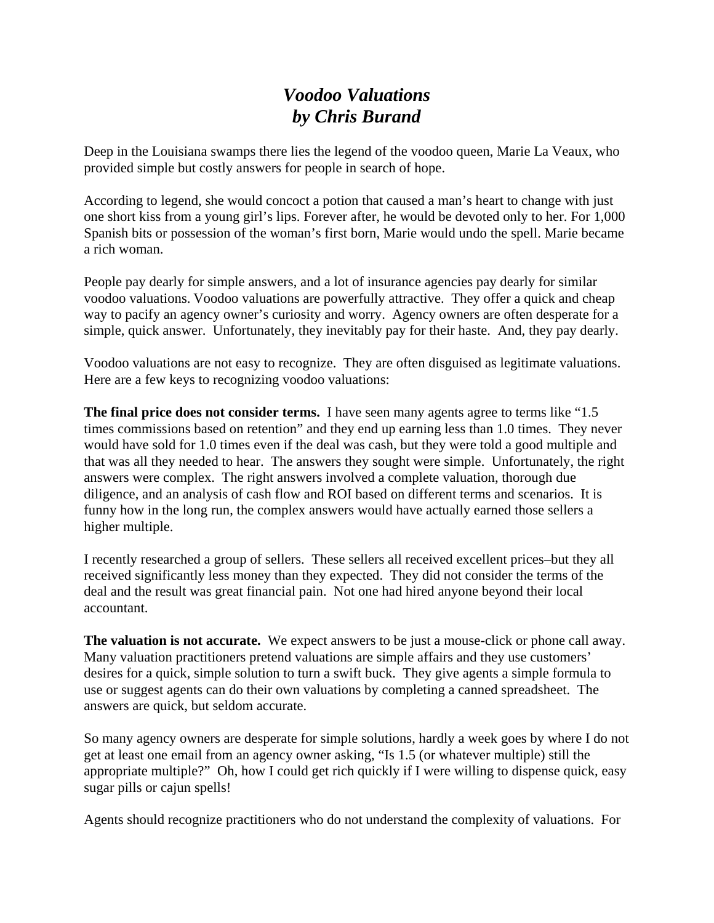## *Voodoo Valuations by Chris Burand*

Deep in the Louisiana swamps there lies the legend of the voodoo queen, Marie La Veaux, who provided simple but costly answers for people in search of hope.

According to legend, she would concoct a potion that caused a man's heart to change with just one short kiss from a young girl's lips. Forever after, he would be devoted only to her. For 1,000 Spanish bits or possession of the woman's first born, Marie would undo the spell. Marie became a rich woman.

People pay dearly for simple answers, and a lot of insurance agencies pay dearly for similar voodoo valuations. Voodoo valuations are powerfully attractive. They offer a quick and cheap way to pacify an agency owner's curiosity and worry. Agency owners are often desperate for a simple, quick answer. Unfortunately, they inevitably pay for their haste. And, they pay dearly.

Voodoo valuations are not easy to recognize. They are often disguised as legitimate valuations. Here are a few keys to recognizing voodoo valuations:

**The final price does not consider terms.** I have seen many agents agree to terms like "1.5 times commissions based on retention" and they end up earning less than 1.0 times. They never would have sold for 1.0 times even if the deal was cash, but they were told a good multiple and that was all they needed to hear. The answers they sought were simple. Unfortunately, the right answers were complex. The right answers involved a complete valuation, thorough due diligence, and an analysis of cash flow and ROI based on different terms and scenarios. It is funny how in the long run, the complex answers would have actually earned those sellers a higher multiple.

I recently researched a group of sellers. These sellers all received excellent prices–but they all received significantly less money than they expected. They did not consider the terms of the deal and the result was great financial pain. Not one had hired anyone beyond their local accountant.

**The valuation is not accurate.** We expect answers to be just a mouse-click or phone call away. Many valuation practitioners pretend valuations are simple affairs and they use customers' desires for a quick, simple solution to turn a swift buck. They give agents a simple formula to use or suggest agents can do their own valuations by completing a canned spreadsheet. The answers are quick, but seldom accurate.

So many agency owners are desperate for simple solutions, hardly a week goes by where I do not get at least one email from an agency owner asking, "Is 1.5 (or whatever multiple) still the appropriate multiple?" Oh, how I could get rich quickly if I were willing to dispense quick, easy sugar pills or cajun spells!

Agents should recognize practitioners who do not understand the complexity of valuations. For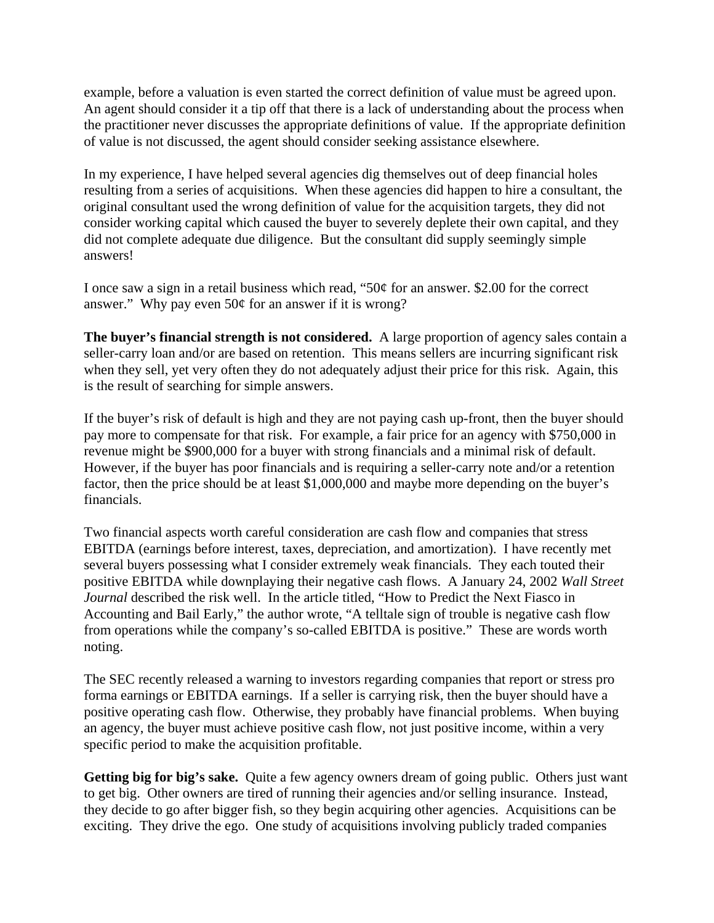example, before a valuation is even started the correct definition of value must be agreed upon. An agent should consider it a tip off that there is a lack of understanding about the process when the practitioner never discusses the appropriate definitions of value. If the appropriate definition of value is not discussed, the agent should consider seeking assistance elsewhere.

In my experience, I have helped several agencies dig themselves out of deep financial holes resulting from a series of acquisitions. When these agencies did happen to hire a consultant, the original consultant used the wrong definition of value for the acquisition targets, they did not consider working capital which caused the buyer to severely deplete their own capital, and they did not complete adequate due diligence. But the consultant did supply seemingly simple answers!

I once saw a sign in a retail business which read, "50¢ for an answer. \$2.00 for the correct answer." Why pay even 50¢ for an answer if it is wrong?

**The buyer's financial strength is not considered.** A large proportion of agency sales contain a seller-carry loan and/or are based on retention. This means sellers are incurring significant risk when they sell, yet very often they do not adequately adjust their price for this risk. Again, this is the result of searching for simple answers.

If the buyer's risk of default is high and they are not paying cash up-front, then the buyer should pay more to compensate for that risk. For example, a fair price for an agency with \$750,000 in revenue might be \$900,000 for a buyer with strong financials and a minimal risk of default. However, if the buyer has poor financials and is requiring a seller-carry note and/or a retention factor, then the price should be at least \$1,000,000 and maybe more depending on the buyer's financials.

Two financial aspects worth careful consideration are cash flow and companies that stress EBITDA (earnings before interest, taxes, depreciation, and amortization). I have recently met several buyers possessing what I consider extremely weak financials. They each touted their positive EBITDA while downplaying their negative cash flows. A January 24, 2002 *Wall Street Journal* described the risk well. In the article titled, "How to Predict the Next Fiasco in Accounting and Bail Early," the author wrote, "A telltale sign of trouble is negative cash flow from operations while the company's so-called EBITDA is positive." These are words worth noting.

The SEC recently released a warning to investors regarding companies that report or stress pro forma earnings or EBITDA earnings. If a seller is carrying risk, then the buyer should have a positive operating cash flow. Otherwise, they probably have financial problems. When buying an agency, the buyer must achieve positive cash flow, not just positive income, within a very specific period to make the acquisition profitable.

**Getting big for big's sake.** Quite a few agency owners dream of going public. Others just want to get big. Other owners are tired of running their agencies and/or selling insurance. Instead, they decide to go after bigger fish, so they begin acquiring other agencies. Acquisitions can be exciting. They drive the ego. One study of acquisitions involving publicly traded companies